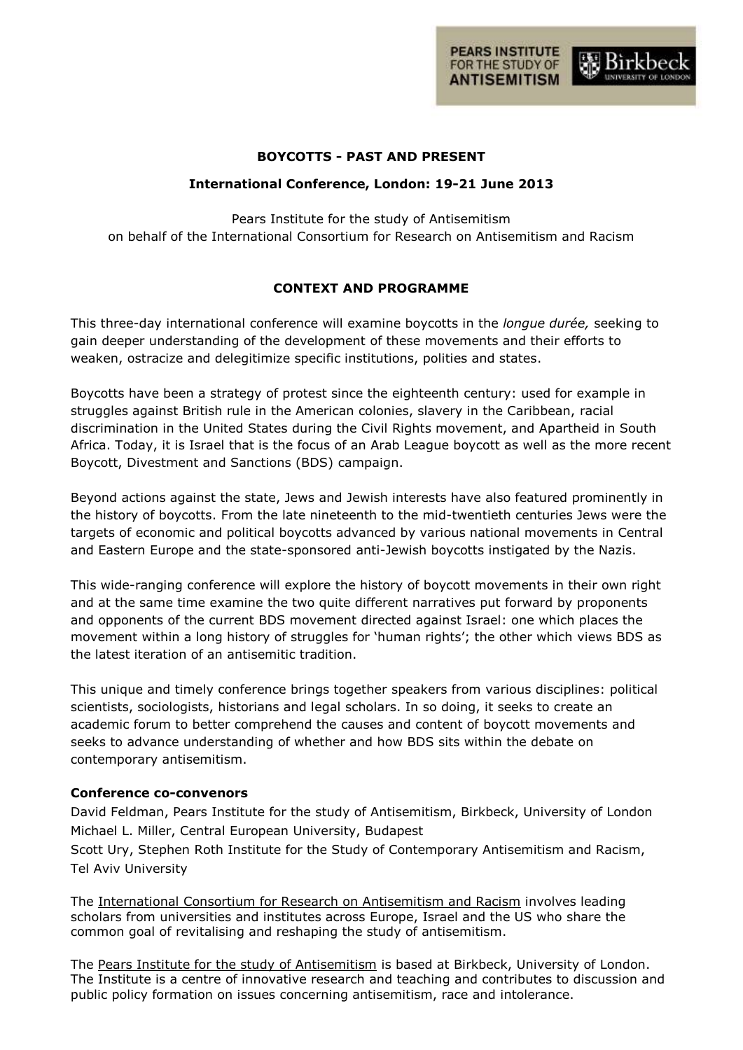

# **BOYCOTTS - PAST AND PRESENT**

# **International Conference, London: 19-21 June 2013**

Pears Institute for the study of Antisemitism on behalf of the International Consortium for Research on Antisemitism and Racism

# **CONTEXT AND PROGRAMME**

This three-day international conference will examine boycotts in the *longue durée,* seeking to gain deeper understanding of the development of these movements and their efforts to weaken, ostracize and delegitimize specific institutions, polities and states.

Boycotts have been a strategy of protest since the eighteenth century: used for example in struggles against British rule in the American colonies, slavery in the Caribbean, racial discrimination in the United States during the Civil Rights movement, and Apartheid in South Africa. Today, it is Israel that is the focus of an Arab League boycott as well as the more recent Boycott, Divestment and Sanctions (BDS) campaign.

Beyond actions against the state, Jews and Jewish interests have also featured prominently in the history of boycotts. From the late nineteenth to the mid-twentieth centuries Jews were the targets of economic and political boycotts advanced by various national movements in Central and Eastern Europe and the state-sponsored anti-Jewish boycotts instigated by the Nazis.

This wide-ranging conference will explore the history of boycott movements in their own right and at the same time examine the two quite different narratives put forward by proponents and opponents of the current BDS movement directed against Israel: one which places the movement within a long history of struggles for 'human rights'; the other which views BDS as the latest iteration of an antisemitic tradition.

This unique and timely conference brings together speakers from various disciplines: political scientists, sociologists, historians and legal scholars. In so doing, it seeks to create an academic forum to better comprehend the causes and content of boycott movements and seeks to advance understanding of whether and how BDS sits within the debate on contemporary antisemitism.

# **Conference co-convenors**

David Feldman, Pears Institute for the study of Antisemitism, Birkbeck, University of London Michael L. Miller, Central European University, Budapest

Scott Ury, Stephen Roth Institute for the Study of Contemporary Antisemitism and Racism, Tel Aviv University

The [International Consortium for Research on Antisemitism and Racism](http://www.pearsinstitute.bbk.ac.uk/research/research-partnerships/international-consortium-for-research-on-antisemitism-and-racism/) involves leading scholars from universities and institutes across Europe, Israel and the US who share the common goal of revitalising and reshaping the study of antisemitism.

The [Pears Institute for the study of Antisemitism](http://www.pearsinstitute.bbk.ac.uk/) is based at Birkbeck, University of London. The Institute is a centre of innovative research and teaching and contributes to discussion and public policy formation on issues concerning antisemitism, race and intolerance.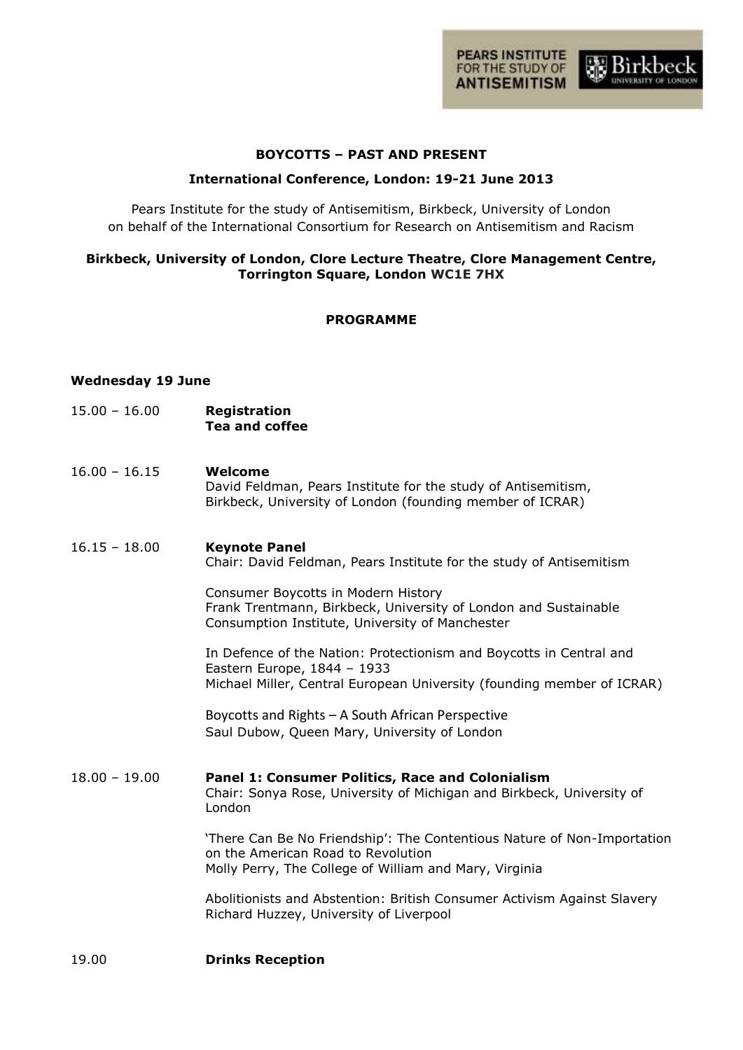

# **BOYCOTTS – PAST AND PRESENT**

# **International Conference, London: 19-21 June 2013**

Pears Institute for the study of Antisemitism, Birkbeck, University of London on behalf of the International Consortium for Research on Antisemitism and Racism

# **Birkbeck, University of London, Clore Lecture Theatre, Clore Management Centre, Torrington Square, London WC1E 7HX**

#### **PROGRAMME**

#### **Wednesday 19 June**

- 15.00 16.00 **Registration Tea and coffee**
- 16.00 16.15 **Welcome** David Feldman, Pears Institute for the study of Antisemitism, Birkbeck, University of London (founding member of ICRAR)
- 16.15 18.00 **Keynote Panel** Chair: David Feldman, Pears Institute for the study of Antisemitism

Consumer Boycotts in Modern History Frank Trentmann, Birkbeck, University of London and Sustainable Consumption Institute, University of Manchester

In Defence of the Nation: Protectionism and Boycotts in Central and Eastern Europe, 1844 – 1933 Michael Miller, Central European University (founding member of ICRAR)

Boycotts and Rights – A South African Perspective Saul Dubow, Queen Mary, University of London

18.00 – 19.00 **Panel 1: Consumer Politics, Race and Colonialism** Chair: Sonya Rose, University of Michigan and Birkbeck, University of London

> 'There Can Be No Friendship': The Contentious Nature of Non-Importation on the American Road to Revolution Molly Perry, The College of William and Mary, Virginia

Abolitionists and Abstention: British Consumer Activism Against Slavery Richard Huzzey, University of Liverpool

19.00 **Drinks Reception**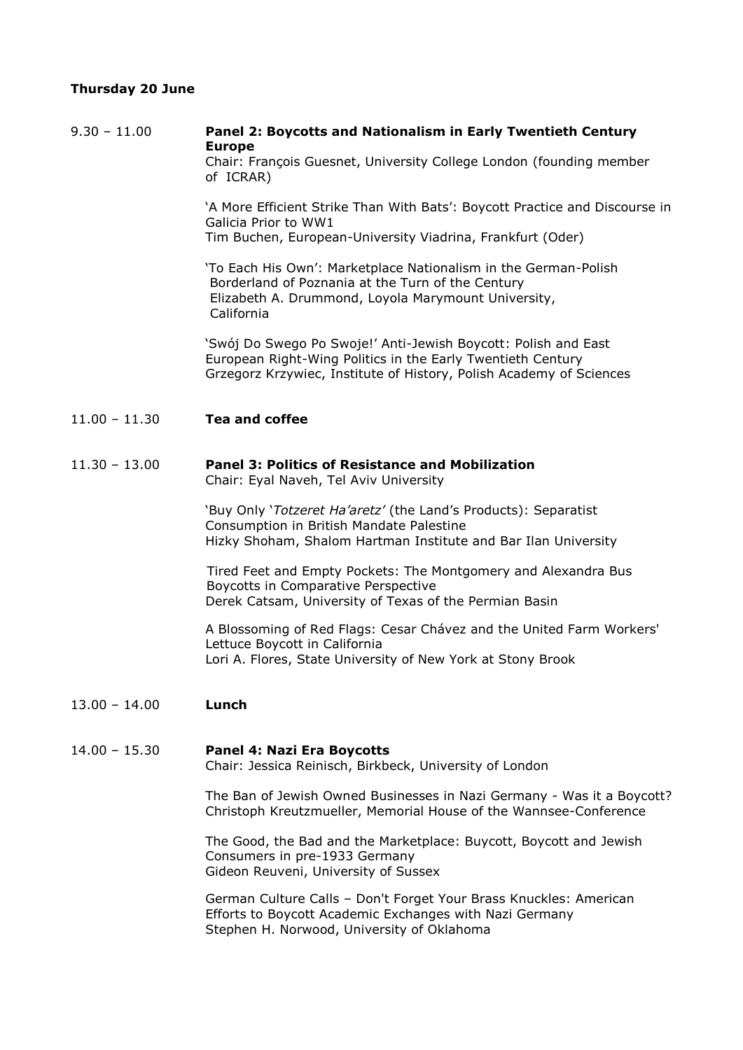# **Thursday 20 June**

9.30 – 11.00 **Panel 2: Boycotts and Nationalism in Early Twentieth Century Europe**

Chair: François Guesnet, University College London (founding member of ICRAR)

'A More Efficient Strike Than With Bats': Boycott Practice and Discourse in Galicia Prior to WW1 Tim Buchen, European-University Viadrina, Frankfurt (Oder)

'To Each His Own': Marketplace Nationalism in the German-Polish Borderland of Poznania at the Turn of the Century Elizabeth A. Drummond, Loyola Marymount University, California

'Swój Do Swego Po Swoje!' Anti-Jewish Boycott: Polish and East European Right-Wing Politics in the Early Twentieth Century Grzegorz Krzywiec, Institute of History, Polish Academy of Sciences

#### 11.00 – 11.30 **Tea and coffee**

# 11.30 – 13.00 **Panel 3: Politics of Resistance and Mobilization**

Chair: Eyal Naveh, Tel Aviv University

'Buy Only '*Totzeret Ha'aretz'* (the Land's Products): Separatist Consumption in British Mandate Palestine Hizky Shoham, Shalom Hartman Institute and Bar Ilan University

Tired Feet and Empty Pockets: The Montgomery and Alexandra Bus Boycotts in Comparative Perspective Derek Catsam, University of Texas of the Permian Basin

A Blossoming of Red Flags: Cesar Chávez and the United Farm Workers' Lettuce Boycott in California Lori A. Flores, State University of New York at Stony Brook

13.00 – 14.00 **Lunch**

#### 14.00 – 15.30 **Panel 4: Nazi Era Boycotts**

Chair: Jessica Reinisch, Birkbeck, University of London

The Ban of Jewish Owned Businesses in Nazi Germany - Was it a Boycott? Christoph Kreutzmueller, Memorial House of the Wannsee-Conference

The Good, the Bad and the Marketplace: Buycott, Boycott and Jewish Consumers in pre-1933 Germany Gideon Reuveni, University of Sussex

German Culture Calls – Don't Forget Your Brass Knuckles: American Efforts to Boycott Academic Exchanges with Nazi Germany Stephen H. Norwood, University of Oklahoma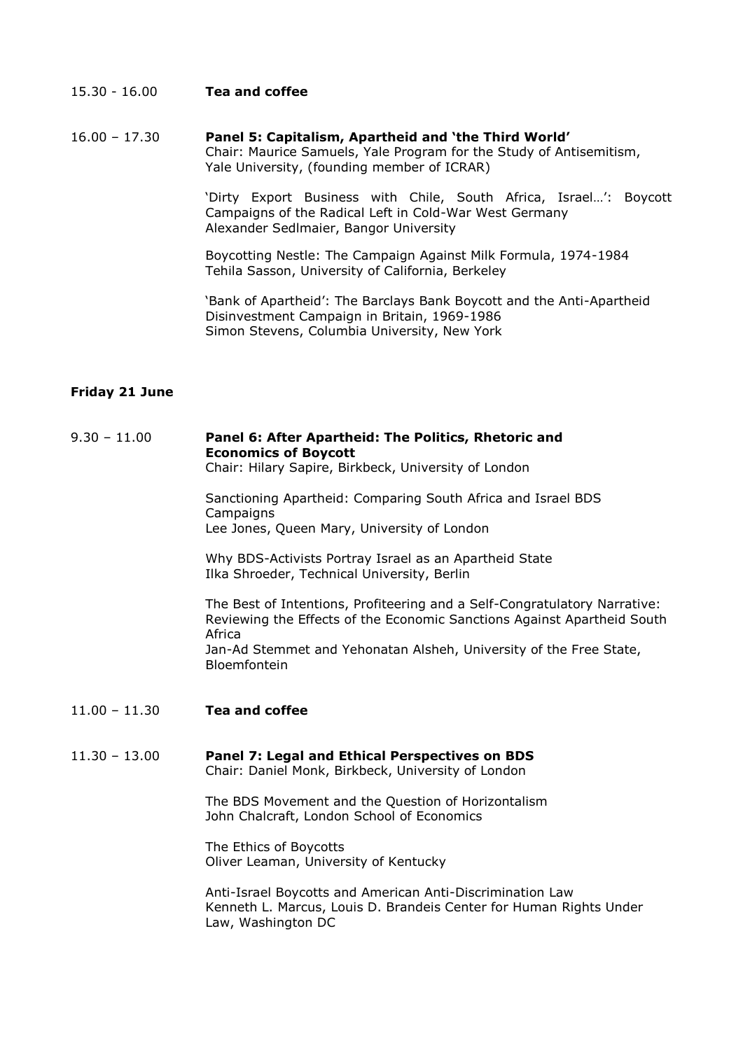#### 15.30 - 16.00 **Tea and coffee**

16.00 – 17.30 **Panel 5: Capitalism, Apartheid and 'the Third World'** Chair: Maurice Samuels, Yale Program for the Study of Antisemitism, Yale University, (founding member of ICRAR)

> 'Dirty Export Business with Chile, South Africa, Israel…': Boycott Campaigns of the Radical Left in Cold-War West Germany Alexander Sedlmaier, Bangor University

Boycotting Nestle: The Campaign Against Milk Formula, 1974-1984 Tehila Sasson, University of California, Berkeley

'Bank of Apartheid': The Barclays Bank Boycott and the Anti-Apartheid Disinvestment Campaign in Britain, 1969-1986 Simon Stevens, Columbia University, New York

# **Friday 21 June**

# 9.30 – 11.00 **Panel 6: After Apartheid: The Politics, Rhetoric and Economics of Boycott**

Chair: Hilary Sapire, Birkbeck, University of London

Sanctioning Apartheid: Comparing South Africa and Israel BDS **Campaigns** Lee Jones, Queen Mary, University of London

Why BDS-Activists Portray Israel as an Apartheid State Ilka Shroeder, Technical University, Berlin

The Best of Intentions, Profiteering and a Self-Congratulatory Narrative: Reviewing the Effects of the Economic Sanctions Against Apartheid South Africa Jan-Ad Stemmet and Yehonatan Alsheh, University of the Free State, Bloemfontein

11.00 – 11.30 **Tea and coffee**

#### 11.30 – 13.00 **Panel 7: Legal and Ethical Perspectives on BDS** Chair: Daniel Monk, Birkbeck, University of London

The BDS Movement and the Question of Horizontalism John Chalcraft, London School of Economics

The Ethics of Boycotts Oliver Leaman, University of Kentucky

Anti-Israel Boycotts and American Anti-Discrimination Law Kenneth L. Marcus, Louis D. Brandeis Center for Human Rights Under Law, Washington DC